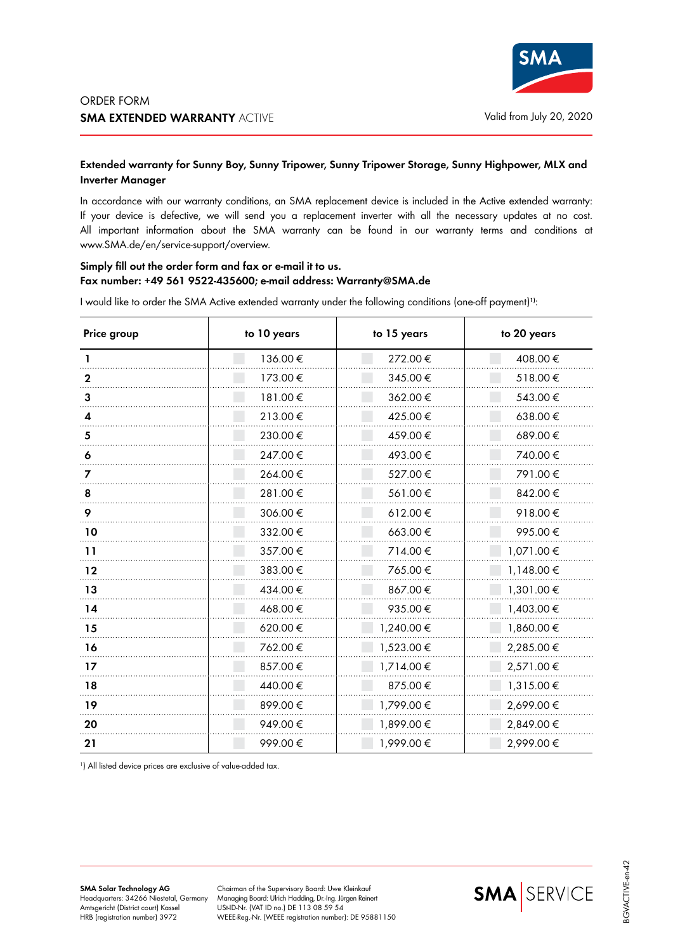

## **Extended warranty for Sunny Boy, Sunny Tripower, Sunny Tripower Storage, Sunny Highpower, MLX and Inverter Manager**

In accordance with our warranty conditions, an SMA replacement device is included in the Active extended warranty: If your device is defective, we will send you a replacement inverter with all the necessary updates at no cost. All important information about the SMA warranty can be found in our warranty terms and conditions at www.SMA.de/en/service-support/overview.

## **Simply fill out the order form and fax or e-mail it to us. Fax number: +49 561 9522-435600; e-mail address: Warranty@SMA.de**

I would like to order the SMA Active extended warranty under the following conditions (one-off payment)**1)**:

| Price group | to 10 years | to 15 years | to 20 years |
|-------------|-------------|-------------|-------------|
|             | 136.00€     | 272.00€     | 408.00€     |
| 2           | 173.00€     | 345.00€     | 518.00€     |
| 3           | 181.00€     | 362.00€     | 543.00€     |
|             | 213.00€     | 425.00€     | 638.00€     |
| 5           | 230.00€     | 459.00€     | 689.00€     |
| 6           | 247.00€     | 493.00€     | 740.00€     |
|             | 264.00€     | 527.00€     | 791.00€     |
| 8           | 281.00€     | 561.00€     | 842.00€     |
| 9           | 306.00€     | 612.00€     | 918.00€     |
| 10          | 332.00€     | 663.00€     | 995.00€     |
| 11          | 357.00€     | 714.00€     | 1,071.00€   |
| 12          | 383.00€     | 765.00€     | 1,148.00 €  |
| 13          | 434.00€     | 867.00€     | 1,301.00€   |
| 14          | 468.00€     | 935.00€     | 1,403.00€   |
| 15          | 620.00€     | 1,240.00 €  | 1,860.00 €  |
| 16          | 762.00€     | 1,523.00 €  | 2,285.00 €  |
| 17          | 857.00€     | 1,714.00€   | 2,571.00€   |
| 18          | 440.00€     | 875.00€     | 1,315.00€   |
| 19          | 899.00€     | 1,799.00€   | 2,699.00€   |
| 20          | 949.00€     | 1,899.00€   | 2,849.00€   |
| 21          | 999.00€     | 1,999.00€   | 2,999.00€   |

<sup>1</sup>) All listed device prices are exclusive of value-added tax.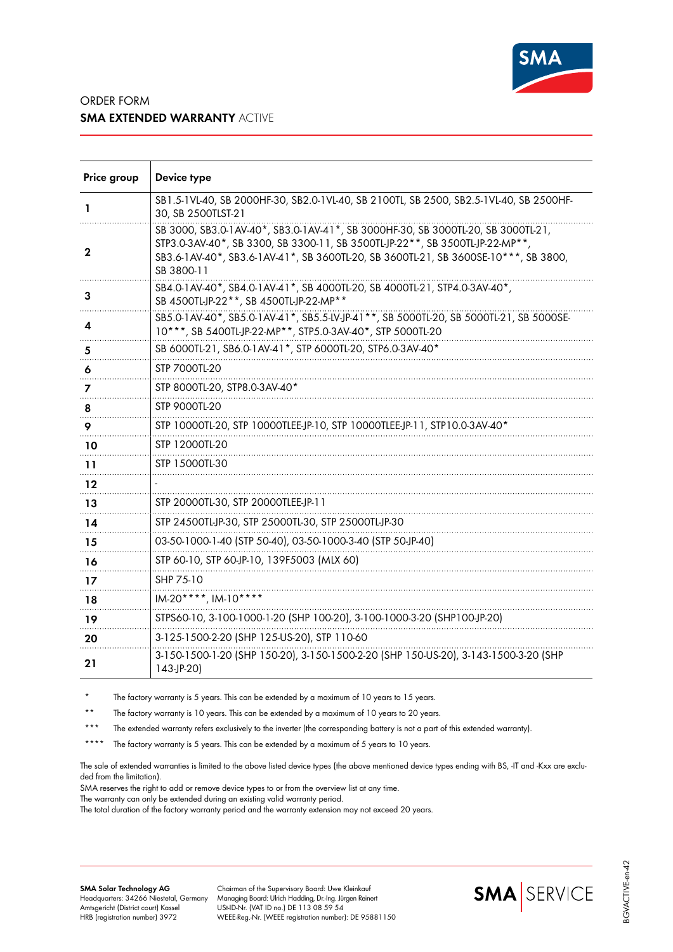

## ORDER FORM **SMA EXTENDED WARRANTY** ACTIVE

| Price group | Device type                                                                                                                                                                                                                                                           |
|-------------|-----------------------------------------------------------------------------------------------------------------------------------------------------------------------------------------------------------------------------------------------------------------------|
| ı           | SB1.5-1VL-40, SB 2000HF-30, SB2.0-1VL-40, SB 2100TL, SB 2500, SB2.5-1VL-40, SB 2500HF-<br>30, SB 2500TLST-21                                                                                                                                                          |
| 2           | SB 3000, SB3.0-1AV-40*, SB3.0-1AV-41*, SB 3000HF-30, SB 3000TL-20, SB 3000TL-21,<br>STP3.0-3AV-40*, SB 3300, SB 3300-11, SB 3500TL-JP-22**, SB 3500TL-JP-22-MP**<br>SB3.6-1AV-40*, SB3.6-1AV-41*, SB 3600TL-20, SB 3600TL-21, SB 3600SE-10***, SB 3800,<br>SB 3800-11 |
| 3           | SB4.0-1AV-40*, SB4.0-1AV-41*, SB 4000TL-20, SB 4000TL-21, STP4.0-3AV-40*,<br>SB 4500TL-JP-22**, SB 4500TL-JP-22-MP**                                                                                                                                                  |
| 4           | SB5.0-1AV-40*, SB5.0-1AV-41*, SB5.5-LV-JP-41**, SB 5000TL-20, SB 5000TL-21, SB 5000SE-<br>10***, SB 5400TL-JP-22-MP**, STP5.0-3AV-40*, STP 5000TL-20                                                                                                                  |
| 5           | SB 6000TL-21, SB6.0-1AV-41*, STP 6000TL-20, STP6.0-3AV-40*                                                                                                                                                                                                            |
| 6           | STP 7000TL-20                                                                                                                                                                                                                                                         |
| 7           | STP 8000TL-20, STP8.0-3AV-40*                                                                                                                                                                                                                                         |
| 8           | STP 9000TL-20                                                                                                                                                                                                                                                         |
| 9           | STP 10000TL-20, STP 10000TLEE-JP-10, STP 10000TLEE-JP-11, STP10.0-3AV-40*                                                                                                                                                                                             |
| 10          | STP 12000TL-20                                                                                                                                                                                                                                                        |
| 11          | STP 15000TL-30                                                                                                                                                                                                                                                        |
| 12          |                                                                                                                                                                                                                                                                       |
| 13          | STP 20000TL-30, STP 20000TLEE-JP-11                                                                                                                                                                                                                                   |
| 14          | STP 24500TL-JP-30, STP 25000TL-30, STP 25000TL-JP-30                                                                                                                                                                                                                  |
| 15          | 03-50-1000-1-40 (STP 50-40), 03-50-1000-3-40 (STP 50-JP-40)                                                                                                                                                                                                           |
| 16          | STP 60-10, STP 60-JP-10, 139F5003 (MLX 60)                                                                                                                                                                                                                            |
| 17          | SHP 75-10                                                                                                                                                                                                                                                             |
| 18          | IM-20****, IM-10****                                                                                                                                                                                                                                                  |
| 19          | STPS60-10, 3-100-1000-1-20 (SHP 100-20), 3-100-1000-3-20 (SHP100-JP-20)                                                                                                                                                                                               |
| 20          | 3-125-1500-2-20 (SHP 125-US-20), STP 110-60                                                                                                                                                                                                                           |
| 21          | 3-150-1500-1-20 (SHP 150-20), 3-150-1500-2-20 (SHP 150-US-20), 3-143-1500-3-20 (SHP<br>$143-JP-20$                                                                                                                                                                    |

\* The factory warranty is 5 years. This can be extended by a maximum of 10 years to 15 years.

\*\* The factory warranty is 10 years. This can be extended by a maximum of 10 years to 20 years.

\*\*\* The extended warranty refers exclusively to the inverter (the corresponding battery is not a part of this extended warranty).

\*\*\*\* The factory warranty is 5 years. This can be extended by a maximum of 5 years to 10 years.

The sale of extended warranties is limited to the above listed device types (the above mentioned device types ending with BS, IT and -Kxx are excluded from the limitation).

SMA reserves the right to add or remove device types to or from the overview list at any time.

The warranty can only be extended during an existing valid warranty period.

The total duration of the factory warranty period and the warranty extension may not exceed 20 years.